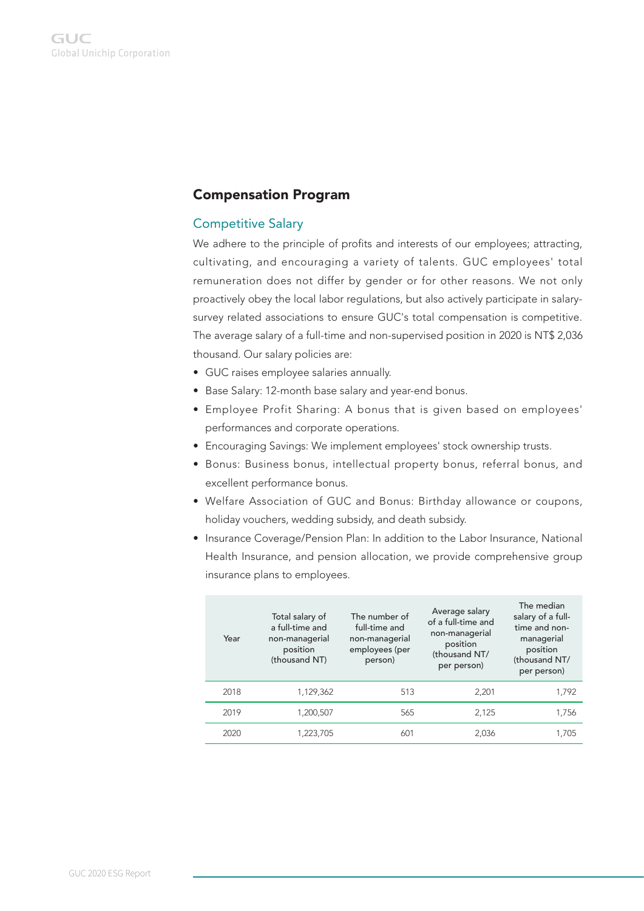# Compensation Program

#### Competitive Salary

We adhere to the principle of profits and interests of our employees; attracting, cultivating, and encouraging a variety of talents. GUC employees' total remuneration does not differ by gender or for other reasons. We not only proactively obey the local labor regulations, but also actively participate in salarysurvey related associations to ensure GUC's total compensation is competitive. The average salary of a full-time and non-supervised position in 2020 is NT\$ 2,036 thousand. Our salary policies are:

- GUC raises employee salaries annually.
- Base Salary: 12-month base salary and year-end bonus.
- Employee Profit Sharing: A bonus that is given based on employees' performances and corporate operations.
- Encouraging Savings: We implement employees' stock ownership trusts.
- Bonus: Business bonus, intellectual property bonus, referral bonus, and excellent performance bonus.
- Welfare Association of GUC and Bonus: Birthday allowance or coupons, holiday vouchers, wedding subsidy, and death subsidy.
- Insurance Coverage/Pension Plan: In addition to the Labor Insurance, National Health Insurance, and pension allocation, we provide comprehensive group insurance plans to employees.

| Year | Total salary of<br>a full-time and<br>non-managerial<br>position<br>(thousand NT) | The number of<br>full-time and<br>non-managerial<br>employees (per<br>person) | Average salary<br>of a full-time and<br>non-managerial<br>position<br>(thousand NT/<br>per person) | The median<br>salary of a full-<br>time and non-<br>managerial<br>position<br>(thousand NT/<br>per person) |
|------|-----------------------------------------------------------------------------------|-------------------------------------------------------------------------------|----------------------------------------------------------------------------------------------------|------------------------------------------------------------------------------------------------------------|
| 2018 | 1,129,362                                                                         | 513                                                                           | 2.201                                                                                              | 1.792                                                                                                      |
| 2019 | 1.200.507                                                                         | 565                                                                           | 2.125                                                                                              | 1.756                                                                                                      |
| 2020 | 1,223,705                                                                         | 601                                                                           | 2.036                                                                                              | 1.705                                                                                                      |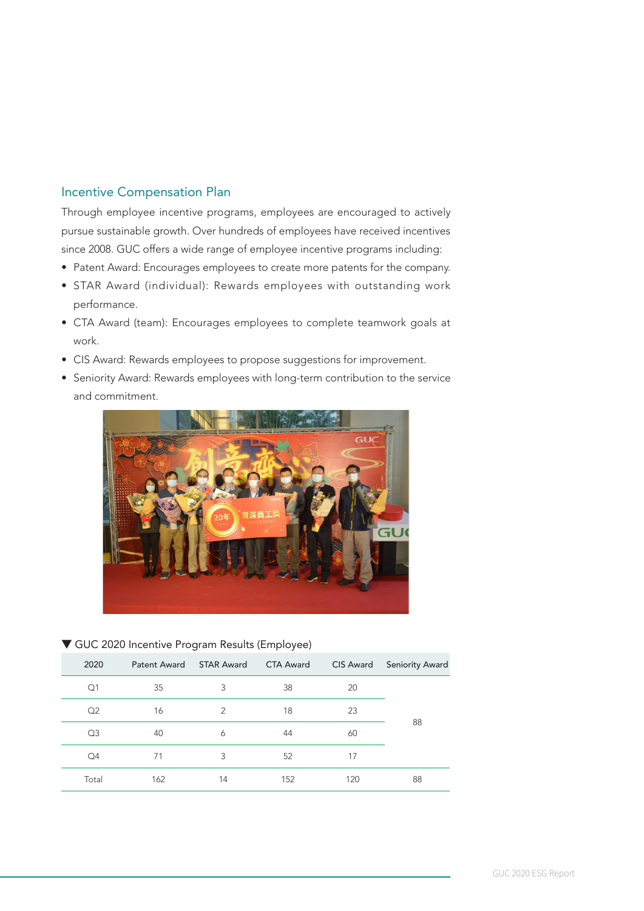### Incentive Compensation Plan

Through employee incentive programs, employees are encouraged to actively pursue sustainable growth. Over hundreds of employees have received incentives since 2008. GUC offers a wide range of employee incentive programs including:

- Patent Award: Encourages employees to create more patents for the company.
- STAR Award (individual): Rewards employees with outstanding work performance.
- CTA Award (team): Encourages employees to complete teamwork goals at work.
- CIS Award: Rewards employees to propose suggestions for improvement.
- Seniority Award: Rewards employees with long-term contribution to the service and commitment.



#### $\nabla$  GUC 2020 Incentive Program Results (Employee)

| 2020           | Patent Award | <b>STAR Award</b> | <b>CTA Award</b> | CIS Award | <b>Seniority Award</b> |
|----------------|--------------|-------------------|------------------|-----------|------------------------|
| Q1             | 35           | 3                 | 38               | 20        |                        |
| Q2             | 16           | 2                 | 18               | 23        |                        |
| Q <sub>3</sub> | 40           | 6                 | 44               | 60        | 88                     |
| Q <sub>4</sub> | 71           | 3                 | 52               | 17        |                        |
| Total          | 162          | 14                | 152              | 120       | 88                     |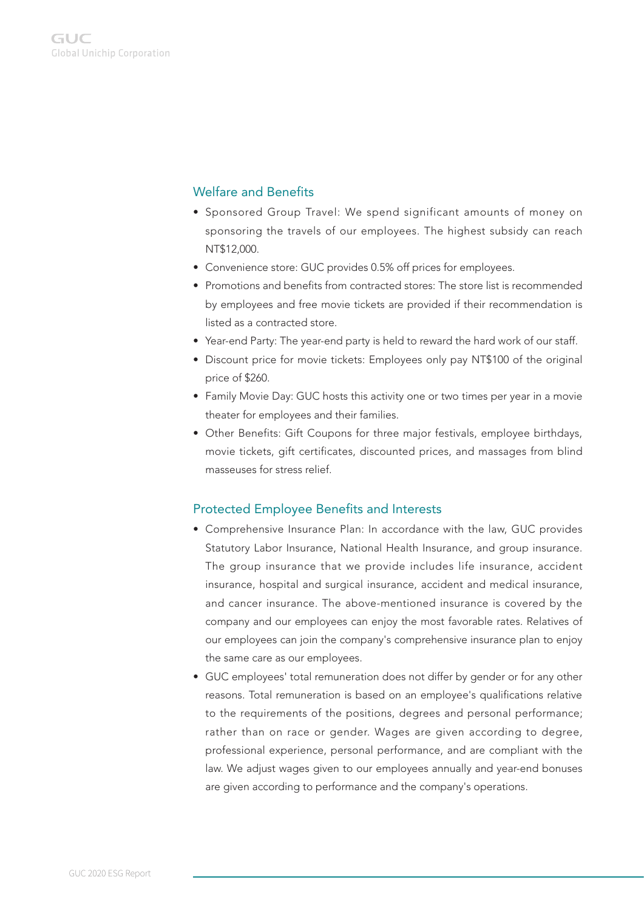## Welfare and Benefits

- Sponsored Group Travel: We spend significant amounts of money on sponsoring the travels of our employees. The highest subsidy can reach NT\$12,000.
- Convenience store: GUC provides 0.5% off prices for employees.
- Promotions and benefits from contracted stores: The store list is recommended by employees and free movie tickets are provided if their recommendation is listed as a contracted store.
- Year-end Party: The year-end party is held to reward the hard work of our staff.
- Discount price for movie tickets: Employees only pay NT\$100 of the original price of \$260.
- Family Movie Day: GUC hosts this activity one or two times per year in a movie theater for employees and their families.
- Other Benefits: Gift Coupons for three major festivals, employee birthdays, movie tickets, gift certificates, discounted prices, and massages from blind masseuses for stress relief.

#### Protected Employee Benefits and Interests

- Comprehensive Insurance Plan: In accordance with the law, GUC provides Statutory Labor Insurance, National Health Insurance, and group insurance. The group insurance that we provide includes life insurance, accident insurance, hospital and surgical insurance, accident and medical insurance, and cancer insurance. The above-mentioned insurance is covered by the company and our employees can enjoy the most favorable rates. Relatives of our employees can join the company's comprehensive insurance plan to enjoy the same care as our employees.
- GUC employees' total remuneration does not differ by gender or for any other reasons. Total remuneration is based on an employee's qualifications relative to the requirements of the positions, degrees and personal performance; rather than on race or gender. Wages are given according to degree, professional experience, personal performance, and are compliant with the law. We adjust wages given to our employees annually and year-end bonuses are given according to performance and the company's operations.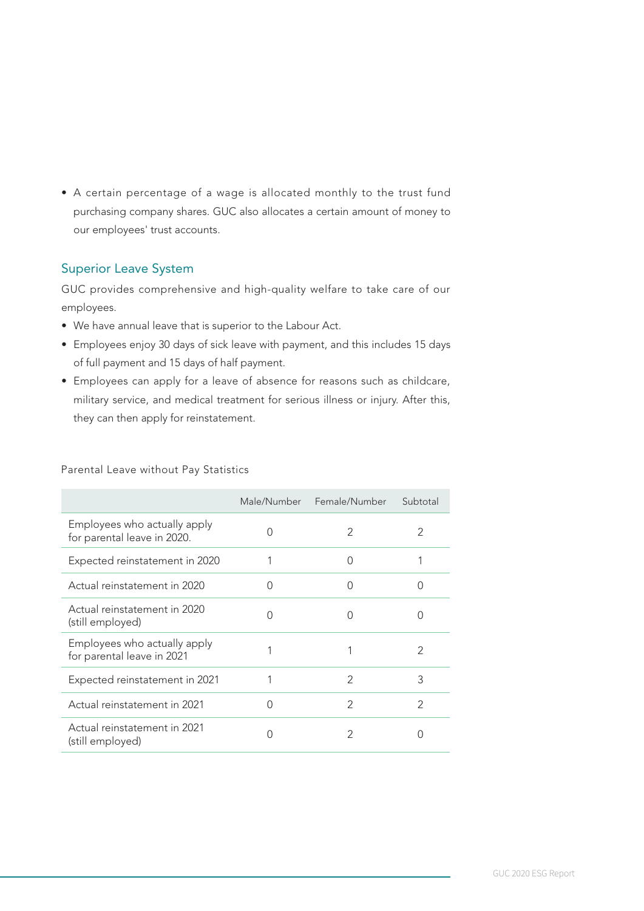• A certain percentage of a wage is allocated monthly to the trust fund purchasing company shares. GUC also allocates a certain amount of money to our employees' trust accounts.

### Superior Leave System

GUC provides comprehensive and high-quality welfare to take care of our employees.

- We have annual leave that is superior to the Labour Act.
- Employees enjoy 30 days of sick leave with payment, and this includes 15 days of full payment and 15 days of half payment.
- Employees can apply for a leave of absence for reasons such as childcare, military service, and medical treatment for serious illness or injury. After this, they can then apply for reinstatement.

|                                                             |           | Male/Number Female/Number | Subtotal         |
|-------------------------------------------------------------|-----------|---------------------------|------------------|
| Employees who actually apply<br>for parental leave in 2020. | ∩         | 2                         | 2                |
| Expected reinstatement in 2020                              |           | $\bigcap$                 |                  |
| Actual reinstatement in 2020                                | $\bigcap$ | $\left( \right)$          | $\left( \right)$ |
| Actual reinstatement in 2020<br>(still employed)            | $\Omega$  | ∩                         | Ω                |
| Employees who actually apply<br>for parental leave in 2021  |           |                           | 2                |
| Expected reinstatement in 2021                              |           | $\mathcal{P}$             | 3                |
| Actual reinstatement in 2021                                | ∩         | $\mathcal{P}$             | $\mathfrak{D}$   |
| Actual reinstatement in 2021<br>(still employed)            | ∩         | 2                         | Ω                |

Parental Leave without Pay Statistics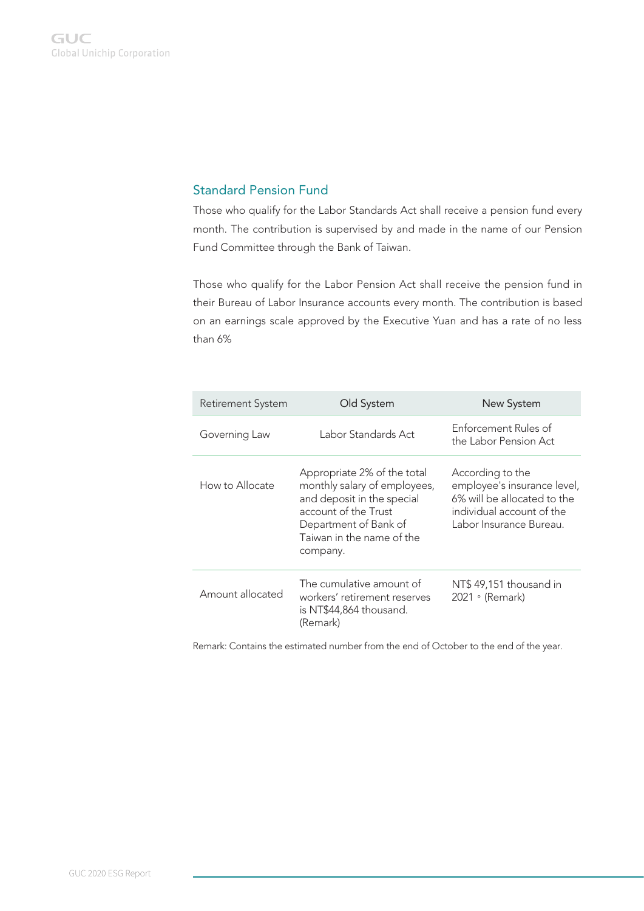#### Standard Pension Fund

Those who qualify for the Labor Standards Act shall receive a pension fund every month. The contribution is supervised by and made in the name of our Pension Fund Committee through the Bank of Taiwan.

Those who qualify for the Labor Pension Act shall receive the pension fund in their Bureau of Labor Insurance accounts every month. The contribution is based on an earnings scale approved by the Executive Yuan and has a rate of no less than 6%

| <b>Retirement System</b> | Old System                                                                                                                                                                          | New System                                                                                                                             |  |
|--------------------------|-------------------------------------------------------------------------------------------------------------------------------------------------------------------------------------|----------------------------------------------------------------------------------------------------------------------------------------|--|
| Governing Law            | Labor Standards Act                                                                                                                                                                 | Enforcement Rules of<br>the Labor Pension Act                                                                                          |  |
| How to Allocate          | Appropriate 2% of the total<br>monthly salary of employees,<br>and deposit in the special<br>account of the Trust<br>Department of Bank of<br>Taiwan in the name of the<br>company. | According to the<br>employee's insurance level,<br>6% will be allocated to the<br>individual account of the<br>Labor Insurance Bureau. |  |
| Amount allocated         | The cumulative amount of<br>workers' retirement reserves<br>is NT\$44,864 thousand.<br>(Remark)                                                                                     | NT\$49,151 thousand in<br>2021 • (Remark)                                                                                              |  |

Remark: Contains the estimated number from the end of October to the end of the year.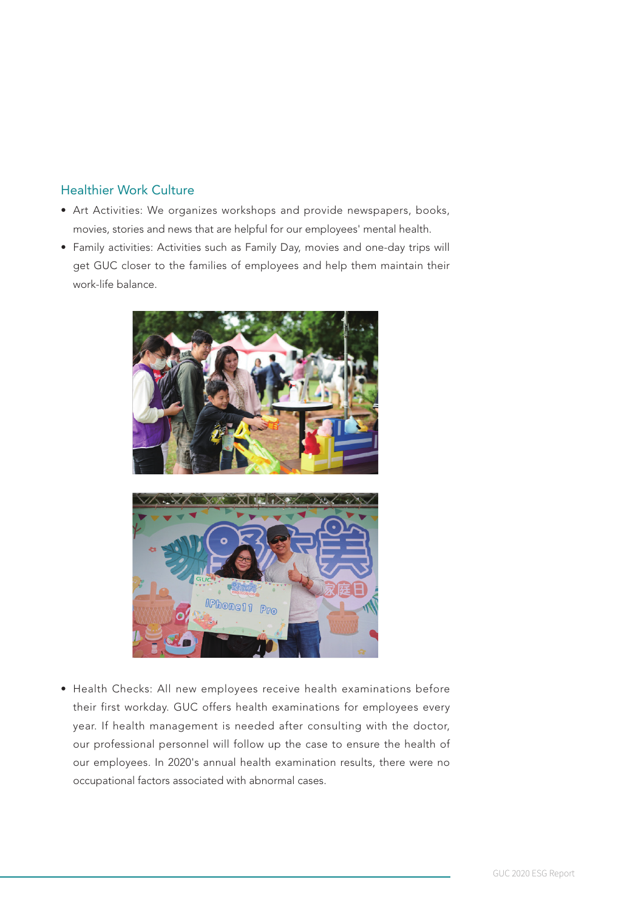#### Healthier Work Culture

- Art Activities: We organizes workshops and provide newspapers, books, movies, stories and news that are helpful for our employees' mental health.
- Family activities: Activities such as Family Day, movies and one-day trips will get GUC closer to the families of employees and help them maintain their work-life balance.



• Health Checks: All new employees receive health examinations before their first workday. GUC offers health examinations for employees every year. If health management is needed after consulting with the doctor, our professional personnel will follow up the case to ensure the health of our employees. In 2020's annual health examination results, there were no occupational factors associated with abnormal cases.